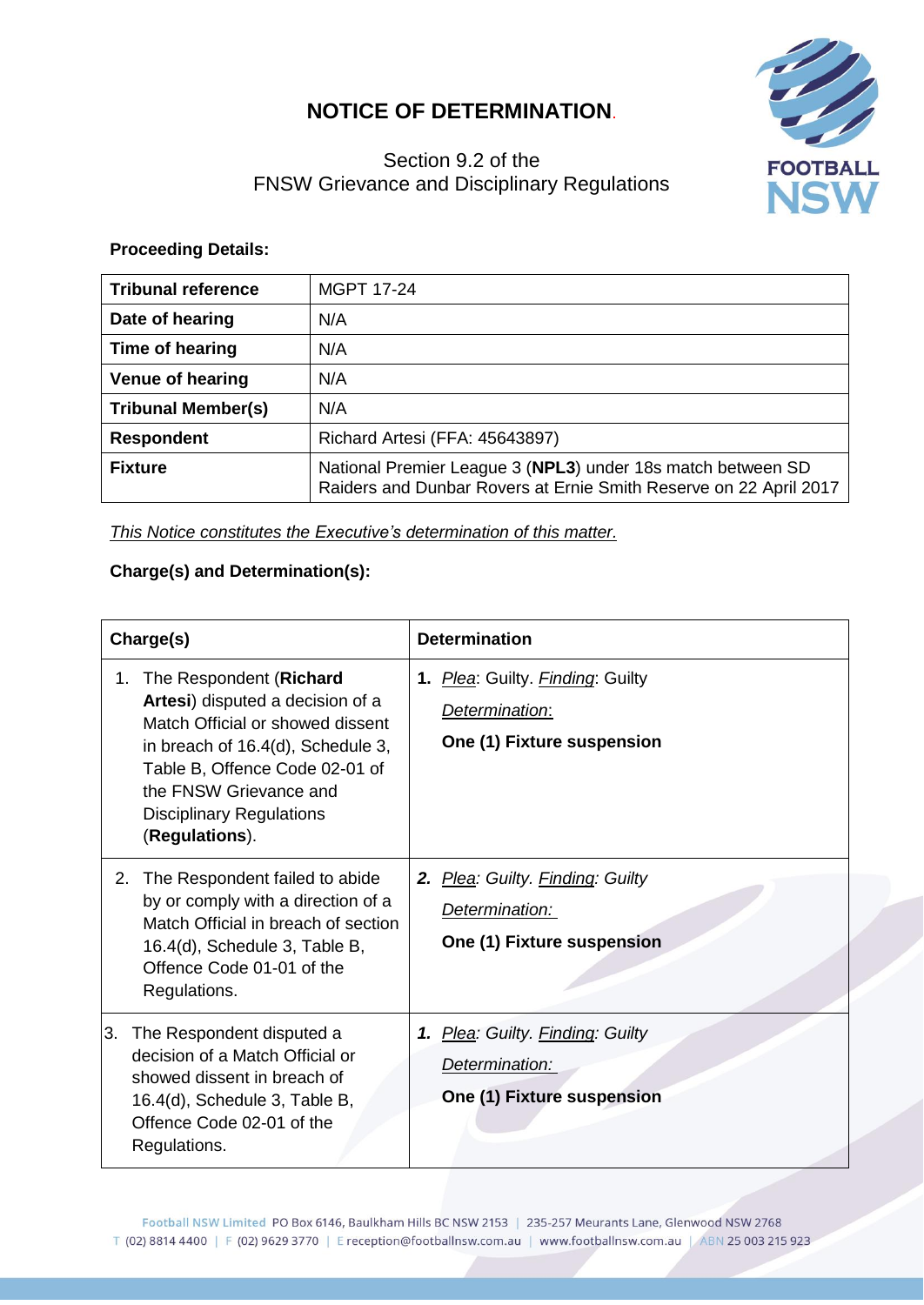## **NOTICE OF DETERMINATION**.



## Section 9.2 of the FNSW Grievance and Disciplinary Regulations

## **Proceeding Details:**

| <b>Tribunal reference</b> | <b>MGPT 17-24</b>                                                                                                                |
|---------------------------|----------------------------------------------------------------------------------------------------------------------------------|
| Date of hearing           | N/A                                                                                                                              |
| Time of hearing           | N/A                                                                                                                              |
| <b>Venue of hearing</b>   | N/A                                                                                                                              |
| <b>Tribunal Member(s)</b> | N/A                                                                                                                              |
| <b>Respondent</b>         | Richard Artesi (FFA: 45643897)                                                                                                   |
| <b>Fixture</b>            | National Premier League 3 (NPL3) under 18s match between SD<br>Raiders and Dunbar Rovers at Ernie Smith Reserve on 22 April 2017 |

*This Notice constitutes the Executive's determination of this matter.*

## **Charge(s) and Determination(s):**

| Charge(s)                                                                                                                                                                                                                                                   | <b>Determination</b>                                                             |
|-------------------------------------------------------------------------------------------------------------------------------------------------------------------------------------------------------------------------------------------------------------|----------------------------------------------------------------------------------|
| The Respondent (Richard<br>1.<br>Artesi) disputed a decision of a<br>Match Official or showed dissent<br>in breach of 16.4(d), Schedule 3,<br>Table B, Offence Code 02-01 of<br>the FNSW Grievance and<br><b>Disciplinary Regulations</b><br>(Regulations). | 1. Plea: Guilty. Finding: Guilty<br>Determination:<br>One (1) Fixture suspension |
| The Respondent failed to abide<br>2.<br>by or comply with a direction of a<br>Match Official in breach of section<br>16.4(d), Schedule 3, Table B,<br>Offence Code 01-01 of the<br>Regulations.                                                             | 2. Plea: Guilty. Finding: Guilty<br>Determination:<br>One (1) Fixture suspension |
| The Respondent disputed a<br>l3.<br>decision of a Match Official or<br>showed dissent in breach of<br>16.4(d), Schedule 3, Table B,<br>Offence Code 02-01 of the<br>Regulations.                                                                            | 1. Plea: Guilty. Finding: Guilty<br>Determination:<br>One (1) Fixture suspension |

Football NSW Limited PO Box 6146, Baulkham Hills BC NSW 2153 | 235-257 Meurants Lane, Glenwood NSW 2768 T (02) 8814 4400 | F (02) 9629 3770 | E reception@footballnsw.com.au | www.footballnsw.com.au | ABN 25 003 215 923